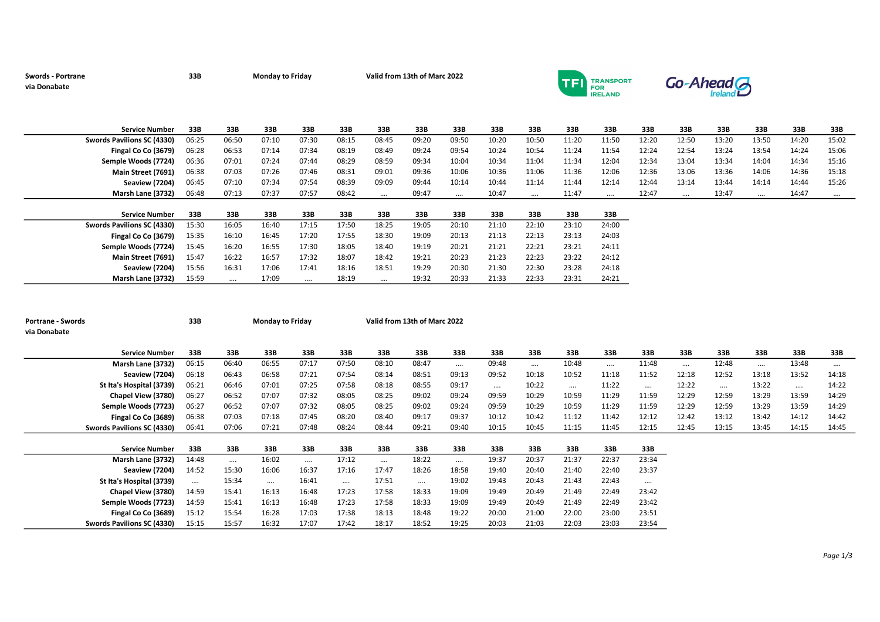## via Donabate

Swords - Portrane 33B Monday to Friday Valid from 13th of Marc 2022

Marsh Lane (3732) 15:59 …. 17:09 …. 18:19 …. 19:32 20:33 21:33 22:33 23:31 24:21



 $Go-Ahead$ 

| <b>Service Number</b>      | 33B   | 33B   | 33B   | 33B   | 33B   | 33B      | 33B   | 33B      | 33B   | 33B      | 33B   | 33B      | 33B   | 33B      | 33B   | 33B      | 33B   | 33B      |
|----------------------------|-------|-------|-------|-------|-------|----------|-------|----------|-------|----------|-------|----------|-------|----------|-------|----------|-------|----------|
| Swords Pavilions SC (4330) | 06:25 | 06:50 | 07:10 | 07:30 | 08:15 | 08:45    | 09:20 | 09:50    | 10:20 | 10:50    | 11:20 | 11:50    | 12:20 | 12:50    | 13:20 | 13:50    | 14:20 | 15:02    |
| Fingal Co Co (3679)        | 06:28 | 06:53 | 07:14 | 07:34 | 08:19 | 08:49    | 09:24 | 09:54    | 10:24 | 10:54    | 11:24 | 11:54    | 12:24 | 12:54    | 13:24 | 13:54    | 14:24 | 15:06    |
| Semple Woods (7724)        | 06:36 | 07:01 | 07:24 | 07:44 | 08:29 | 08:59    | 09:34 | 10:04    | 10:34 | 11:04    | 11:34 | 12:04    | 12:34 | 13:04    | 13:34 | 14:04    | 14:34 | 15:16    |
| Main Street (7691)         | 06:38 | 07:03 | 07:26 | 07:46 | 08:31 | 09:01    | 09:36 | 10:06    | 10:36 | 11:06    | 11:36 | 12:06    | 12:36 | 13:06    | 13:36 | 14:06    | 14:36 | 15:18    |
| Seaview (7204)             | 06:45 | 07:10 | 07:34 | 07:54 | 08:39 | 09:09    | 09:44 | 10:14    | 10:44 | 11:14    | 11:44 | 12:14    | 12:44 | 13:14    | 13:44 | 14:14    | 14:44 | 15:26    |
| Marsh Lane (3732)          | 06:48 | 07:13 | 07:37 | 07:57 | 08:42 | $\cdots$ | 09:47 | $\cdots$ | 10:47 | $\cdots$ | 11:47 | $\cdots$ | 12:47 | $\cdots$ | 13:47 | $\cdots$ | 14:47 | $\cdots$ |
|                            |       |       |       |       |       |          |       |          |       |          |       |          |       |          |       |          |       |          |
|                            |       |       |       |       |       |          |       |          |       |          |       |          |       |          |       |          |       |          |
| <b>Service Number</b>      | 33B   | 33B   | 33B   | 33B   | 33B   | 33B      | 33B   | 33B      | 33B   | 33B      | 33B   | 33B      |       |          |       |          |       |          |
| Swords Pavilions SC (4330) | 15:30 | 16:05 | 16:40 | 17:15 | 17:50 | 18:25    | 19:05 | 20:10    | 21:10 | 22:10    | 23:10 | 24:00    |       |          |       |          |       |          |
| Fingal Co Co (3679)        | 15:35 | 16:10 | 16:45 | 17:20 | 17:55 | 18:30    | 19:09 | 20:13    | 21:13 | 22:13    | 23:13 | 24:03    |       |          |       |          |       |          |
| Semple Woods (7724)        | 15:45 | 16:20 | 16:55 | 17:30 | 18:05 | 18:40    | 19:19 | 20:21    | 21:21 | 22:21    | 23:21 | 24:11    |       |          |       |          |       |          |
| Main Street (7691)         | 15:47 | 16:22 | 16:57 | 17:32 | 18:07 | 18:42    | 19:21 | 20:23    | 21:23 | 22:23    | 23:22 | 24:12    |       |          |       |          |       |          |

| <b>Portrane - Swords</b><br>via Donabate | 33B   |          | <b>Monday to Friday</b> |          |       | Valid from 13th of Marc 2022 |          |          |       |          |          |          |          |          |          |          |          |          |
|------------------------------------------|-------|----------|-------------------------|----------|-------|------------------------------|----------|----------|-------|----------|----------|----------|----------|----------|----------|----------|----------|----------|
| <b>Service Number</b>                    | 33B   | 33B      | 33B                     | 33B      | 33B   | 33B                          | 33B      | 33B      | 33B   | 33B      | 33B      | 33B      | 33B      | 33B      | 33B      | 33B      | 33B      | 33B      |
| Marsh Lane (3732)                        | 06:15 | 06:40    | 06:55                   | 07:17    | 07:50 | 08:10                        | 08:47    |          | 09:48 | $\cdots$ | 10:48    | $\cdots$ | 11:48    | $\cdots$ | 12:48    | $\cdots$ | 13:48    | $\cdots$ |
| <b>Seaview (7204)</b>                    | 06:18 | 06:43    | 06:58                   | 07:21    | 07:54 | 08:14                        | 08:51    | 09:13    | 09:52 | 10:18    | 10:52    | 11:18    | 11:52    | 12:18    | 12:52    | 13:18    | 13:52    | 14:18    |
| St Ita's Hospital (3739)                 | 06:21 | 06:46    | 07:01                   | 07:25    | 07:58 | 08:18                        | 08:55    | 09:17    |       | 10:22    | $\cdots$ | 11:22    | $\cdots$ | 12:22    | $\cdots$ | 13:22    | $\cdots$ | 14:22    |
| Chapel View (3780)                       | 06:27 | 06:52    | 07:07                   | 07:32    | 08:05 | 08:25                        | 09:02    | 09:24    | 09:59 | 10:29    | 10:59    | 11:29    | 11:59    | 12:29    | 12:59    | 13:29    | 13:59    | 14:29    |
| Semple Woods (7723)                      | 06:27 | 06:52    | 07:07                   | 07:32    | 08:05 | 08:25                        | 09:02    | 09:24    | 09:59 | 10:29    | 10:59    | 11:29    | 11:59    | 12:29    | 12:59    | 13:29    | 13:59    | 14:29    |
| Fingal Co Co (3689)                      | 06:38 | 07:03    | 07:18                   | 07:45    | 08:20 | 08:40                        | 09:17    | 09:37    | 10:12 | 10:42    | 11:12    | 11:42    | 12:12    | 12:42    | 13:12    | 13:42    | 14:12    | 14:42    |
| Swords Pavilions SC (4330)               | 06:41 | 07:06    | 07:21                   | 07:48    | 08:24 | 08:44                        | 09:21    | 09:40    | 10:15 | 10:45    | 11:15    | 11:45    | 12:15    | 12:45    | 13:15    | 13:45    | 14:15    | 14:45    |
|                                          |       |          |                         |          |       |                              |          |          |       |          |          |          |          |          |          |          |          |          |
| <b>Service Number</b>                    | 33B   | 33B      | 33B                     | 33B      | 33B   | 33B                          | 33B      | 33B      | 33B   | 33B      | 33B      | 33B      | 33B      |          |          |          |          |          |
| Marsh Lane (3732)                        | 14:48 | $\cdots$ | 16:02                   | $\cdots$ | 17:12 |                              | 18:22    | $\cdots$ | 19:37 | 20:37    | 21:37    | 22:37    | 23:34    |          |          |          |          |          |
| <b>Seaview (7204)</b>                    | 14:52 | 15:30    | 16:06                   | 16:37    | 17:16 | 17:47                        | 18:26    | 18:58    | 19:40 | 20:40    | 21:40    | 22:40    | 23:37    |          |          |          |          |          |
| St Ita's Hospital (3739)                 |       | 15:34    | $\cdots$                | 16:41    |       | 17:51                        | $\cdots$ | 19:02    | 19:43 | 20:43    | 21:43    | 22:43    | $\cdots$ |          |          |          |          |          |
| Chapel View (3780)                       | 14:59 | 15:41    | 16:13                   | 16:48    | 17:23 | 17:58                        | 18:33    | 19:09    | 19:49 | 20:49    | 21:49    | 22:49    | 23:42    |          |          |          |          |          |
| Semple Woods (7723)                      | 14:59 | 15:41    | 16:13                   | 16:48    | 17:23 | 17:58                        | 18:33    | 19:09    | 19:49 | 20:49    | 21:49    | 22:49    | 23:42    |          |          |          |          |          |
| Fingal Co Co (3689)                      | 15:12 | 15:54    | 16:28                   | 17:03    | 17:38 | 18:13                        | 18:48    | 19:22    | 20:00 | 21:00    | 22:00    | 23:00    | 23:51    |          |          |          |          |          |
| Swords Pavilions SC (4330)               | 15:15 | 15:57    | 16:32                   | 17:07    | 17:42 | 18:17                        | 18:52    | 19:25    | 20:03 | 21:03    | 22:03    | 23:03    | 23:54    |          |          |          |          |          |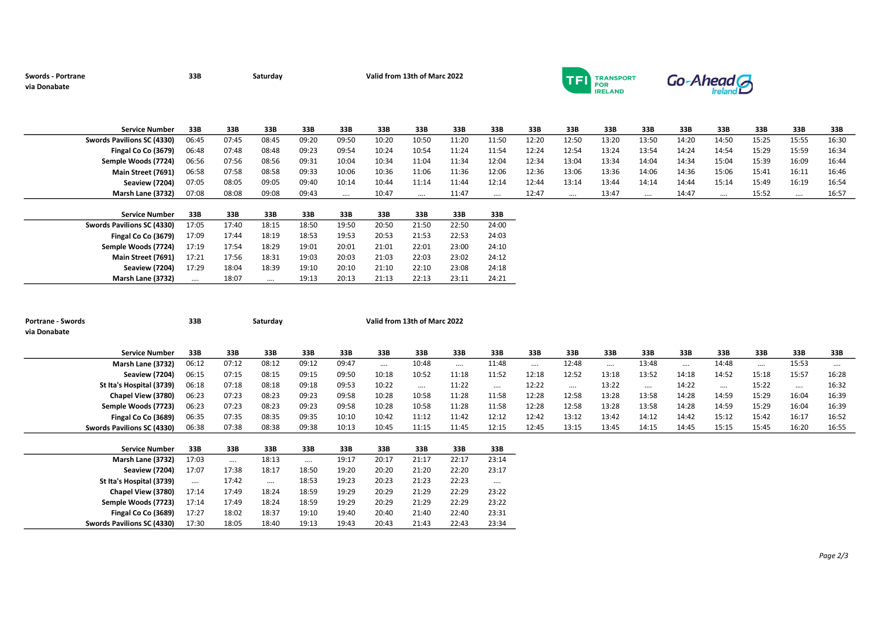## via Donabate

Swords - Portrane 2022 2022 33B Saturday Calid from 13th of Marc 2022



 $Go-Ahead$ 

| <b>Service Number</b>      | 33B   | 33B   | 33B   | 33B   | 33B      | 33B   | 33B      | 33B   | 33B      | 33B   | 33B      | 33B   | 33B      | 33B   | 33B      | 33B   | 33B      | 33B   |
|----------------------------|-------|-------|-------|-------|----------|-------|----------|-------|----------|-------|----------|-------|----------|-------|----------|-------|----------|-------|
| Swords Pavilions SC (4330) | 06:45 | 07:45 | 08:45 | 09:20 | 09:50    | 10:20 | 10:50    | 11:20 | 11:50    | 12:20 | 12:50    | 13:20 | 13:50    | 14:20 | 14:50    | 15:25 | 15:55    | 16:30 |
| Fingal Co Co (3679)        | 06:48 | 07:48 | 08:48 | 09:23 | 09:54    | 10:24 | 10:54    | 11:24 | 11:54    | 12:24 | 12:54    | 13:24 | 13:54    | 14:24 | 14:54    | 15:29 | 15:59    | 16:34 |
| Semple Woods (7724)        | 06:56 | 07:56 | 08:56 | 09:31 | 10:04    | 10:34 | 11:04    | 11:34 | 12:04    | 12:34 | 13:04    | 13:34 | 14:04    | 14:34 | 15:04    | 15:39 | 16:09    | 16:44 |
| Main Street (7691)         | 06:58 | 07:58 | 08:58 | 09:33 | 10:06    | 10:36 | 11:06    | 11:36 | 12:06    | 12:36 | 13:06    | 13:36 | 14:06    | 14:36 | 15:06    | 15:41 | 16:11    | 16:46 |
| Seaview (7204)             | 07:05 | 08:05 | 09:05 | 09:40 | 10:14    | 10:44 | 11:14    | 11:44 | 12:14    | 12:44 | 13:14    | 13:44 | 14:14    | 14:44 | 15:14    | 15:49 | 16:19    | 16:54 |
| Marsh Lane (3732)          | 07:08 | 08:08 | 09:08 | 09:43 | $\cdots$ | 10:47 | $\cdots$ | 11:47 | $\cdots$ | 12:47 | $\cdots$ | 13:47 | $\cdots$ | 14:47 | $\cdots$ | 15:52 | $\cdots$ | 16:57 |

| <b>Service Number</b>      | 33B   | 33B   | 33B   | 33B   | 33B   | 33B   | 33B   | 33B   | 33B   |
|----------------------------|-------|-------|-------|-------|-------|-------|-------|-------|-------|
| Swords Pavilions SC (4330) | 17:05 | 17:40 | 18:15 | 18:50 | 19:50 | 20:50 | 21:50 | 22:50 | 24:00 |
| Fingal Co Co (3679)        | 17:09 | 17:44 | 18:19 | 18:53 | 19:53 | 20:53 | 21:53 | 22:53 | 24:03 |
| Semple Woods (7724)        | 17:19 | 17:54 | 18:29 | 19:01 | 20:01 | 21:01 | 22:01 | 23:00 | 24:10 |
| Main Street (7691)         | 17:21 | 17:56 | 18:31 | 19:03 | 20:03 | 21:03 | 22:03 | 23:02 | 24:12 |
| Seaview (7204)             | 17:29 | 18:04 | 18:39 | 19:10 | 20:10 | 21:10 | 22:10 | 23:08 | 24:18 |
| Marsh Lane (3732)          |       | 18:07 |       | 19:13 | 20:13 | 21:13 | 22:13 | 23:11 | 24:21 |

| <b>Portrane - Swords</b>   | 33B      |          | Saturday | Valid from 13th of Marc 2022 |       |          |          |          |          |          |          |          |          |          |          |       |          |          |
|----------------------------|----------|----------|----------|------------------------------|-------|----------|----------|----------|----------|----------|----------|----------|----------|----------|----------|-------|----------|----------|
| via Donabate               |          |          |          |                              |       |          |          |          |          |          |          |          |          |          |          |       |          |          |
|                            |          |          |          |                              |       |          |          |          |          |          |          |          |          |          |          |       |          |          |
| <b>Service Number</b>      | 33B      | 33B      | 33B      | 33B                          | 33B   | 33B      | 33B      | 33B      | 33B      | 33B      | 33B      | 33B      | 33B      | 33B      | 33B      | 33B   | 33B      | 33B      |
| Marsh Lane (3732)          | 06:12    | 07:12    | 08:12    | 09:12                        | 09:47 | $\cdots$ | 10:48    | $\cdots$ | 11:48    | $\cdots$ | 12:48    | $\cdots$ | 13:48    | $\cdots$ | 14:48    |       | 15:53    | $\cdots$ |
| <b>Seaview (7204)</b>      | 06:15    | 07:15    | 08:15    | 09:15                        | 09:50 | 10:18    | 10:52    | 11:18    | 11:52    | 12:18    | 12:52    | 13:18    | 13:52    | 14:18    | 14:52    | 15:18 | 15:57    | 16:28    |
| St Ita's Hospital (3739)   | 06:18    | 07:18    | 08:18    | 09:18                        | 09:53 | 10:22    | $\cdots$ | 11:22    |          | 12:22    | $\cdots$ | 13:22    | $\cdots$ | 14:22    | $\cdots$ | 15:22 | $\cdots$ | 16:32    |
| Chapel View (3780)         | 06:23    | 07:23    | 08:23    | 09:23                        | 09:58 | 10:28    | 10:58    | 11:28    | 11:58    | 12:28    | 12:58    | 13:28    | 13:58    | 14:28    | 14:59    | 15:29 | 16:04    | 16:39    |
| Semple Woods (7723)        | 06:23    | 07:23    | 08:23    | 09:23                        | 09:58 | 10:28    | 10:58    | 11:28    | 11:58    | 12:28    | 12:58    | 13:28    | 13:58    | 14:28    | 14:59    | 15:29 | 16:04    | 16:39    |
| Fingal Co Co (3689)        | 06:35    | 07:35    | 08:35    | 09:35                        | 10:10 | 10:42    | 11:12    | 11:42    | 12:12    | 12:42    | 13:12    | 13:42    | 14:12    | 14:42    | 15:12    | 15:42 | 16:17    | 16:52    |
| Swords Pavilions SC (4330) | 06:38    | 07:38    | 08:38    | 09:38                        | 10:13 | 10:45    | 11:15    | 11:45    | 12:15    | 12:45    | 13:15    | 13:45    | 14:15    | 14:45    | 15:15    | 15:45 | 16:20    | 16:55    |
|                            |          |          |          |                              |       |          |          |          |          |          |          |          |          |          |          |       |          |          |
| <b>Service Number</b>      | 33B      | 33B      | 33B      | 33B                          | 33B   | 33B      | 33B      | 33B      | 33B      |          |          |          |          |          |          |       |          |          |
| Marsh Lane (3732)          | 17:03    | $\cdots$ | 18:13    | $\cdots$                     | 19:17 | 20:17    | 21:17    | 22:17    | 23:14    |          |          |          |          |          |          |       |          |          |
| <b>Seaview (7204)</b>      | 17:07    | 17:38    | 18:17    | 18:50                        | 19:20 | 20:20    | 21:20    | 22:20    | 23:17    |          |          |          |          |          |          |       |          |          |
| St Ita's Hospital (3739)   | $\cdots$ | 17:42    | $\cdots$ | 18:53                        | 19:23 | 20:23    | 21:23    | 22:23    | $\cdots$ |          |          |          |          |          |          |       |          |          |
| Chapel View (3780)         | 17:14    | 17:49    | 18:24    | 18:59                        | 19:29 | 20:29    | 21:29    | 22:29    | 23:22    |          |          |          |          |          |          |       |          |          |
| Semple Woods (7723)        | 17:14    | 17:49    | 18:24    | 18:59                        | 19:29 | 20:29    | 21:29    | 22:29    | 23:22    |          |          |          |          |          |          |       |          |          |
| Fingal Co Co (3689)        | 17:27    | 18:02    | 18:37    | 19:10                        | 19:40 | 20:40    | 21:40    | 22:40    | 23:31    |          |          |          |          |          |          |       |          |          |
| Swords Pavilions SC (4330) | 17:30    | 18:05    | 18:40    | 19:13                        | 19:43 | 20:43    | 21:43    | 22:43    | 23:34    |          |          |          |          |          |          |       |          |          |